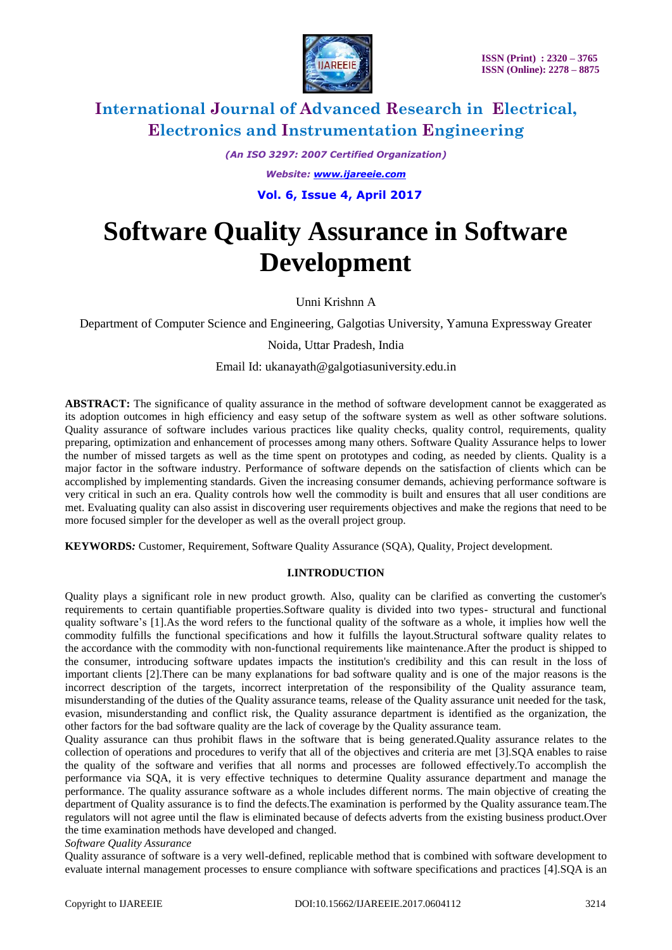

*(An ISO 3297: 2007 Certified Organization) Website: [www.ijareeie.com](http://www.ijareeie.com/)*  **Vol. 6, Issue 4, April 2017**

# **Software Quality Assurance in Software Development**

Unni Krishnn A

Department of Computer Science and Engineering, Galgotias University, Yamuna Expressway Greater

Noida, Uttar Pradesh, India

Email Id: ukanayath@galgotiasuniversity.edu.in

**ABSTRACT:** The significance of quality assurance in the method of software development cannot be exaggerated as its adoption outcomes in high efficiency and easy setup of the software system as well as other software solutions. Quality assurance of software includes various practices like quality checks, quality control, requirements, quality preparing, optimization and enhancement of processes among many others. Software Quality Assurance helps to lower the number of missed targets as well as the time spent on prototypes and coding, as needed by clients. Quality is a major factor in the software industry. Performance of software depends on the satisfaction of clients which can be accomplished by implementing standards. Given the increasing consumer demands, achieving performance software is very critical in such an era. Quality controls how well the commodity is built and ensures that all user conditions are met. Evaluating quality can also assist in discovering user requirements objectives and make the regions that need to be more focused simpler for the developer as well as the overall project group.

**KEYWORDS***:* Customer, Requirement, Software Quality Assurance (SQA), Quality, Project development.

### **I.INTRODUCTION**

Quality plays a significant role in new product growth. Also, quality can be clarified as converting the customer's requirements to certain quantifiable properties.Software quality is divided into two types- structural and functional quality software's [1].As the word refers to the functional quality of the software as a whole, it implies how well the commodity fulfills the functional specifications and how it fulfills the layout.Structural software quality relates to the accordance with the commodity with non-functional requirements like maintenance.After the product is shipped to the consumer, introducing software updates impacts the institution's credibility and this can result in the loss of important clients [2].There can be many explanations for bad software quality and is one of the major reasons is the incorrect description of the targets, incorrect interpretation of the responsibility of the Quality assurance team, misunderstanding of the duties of the Quality assurance teams, release of the Quality assurance unit needed for the task, evasion, misunderstanding and conflict risk, the Quality assurance department is identified as the organization, the other factors for the bad software quality are the lack of coverage by the Quality assurance team.

Quality assurance can thus prohibit flaws in the software that is being generated.Quality assurance relates to the collection of operations and procedures to verify that all of the objectives and criteria are met [3].SQA enables to raise the quality of the software and verifies that all norms and processes are followed effectively.To accomplish the performance via SQA, it is very effective techniques to determine Quality assurance department and manage the performance. The quality assurance software as a whole includes different norms. The main objective of creating the department of Quality assurance is to find the defects.The examination is performed by the Quality assurance team.The regulators will not agree until the flaw is eliminated because of defects adverts from the existing business product.Over the time examination methods have developed and changed.

#### *Software Quality Assurance*

Quality assurance of software is a very well-defined, replicable method that is combined with software development to evaluate internal management processes to ensure compliance with software specifications and practices [4].SQA is an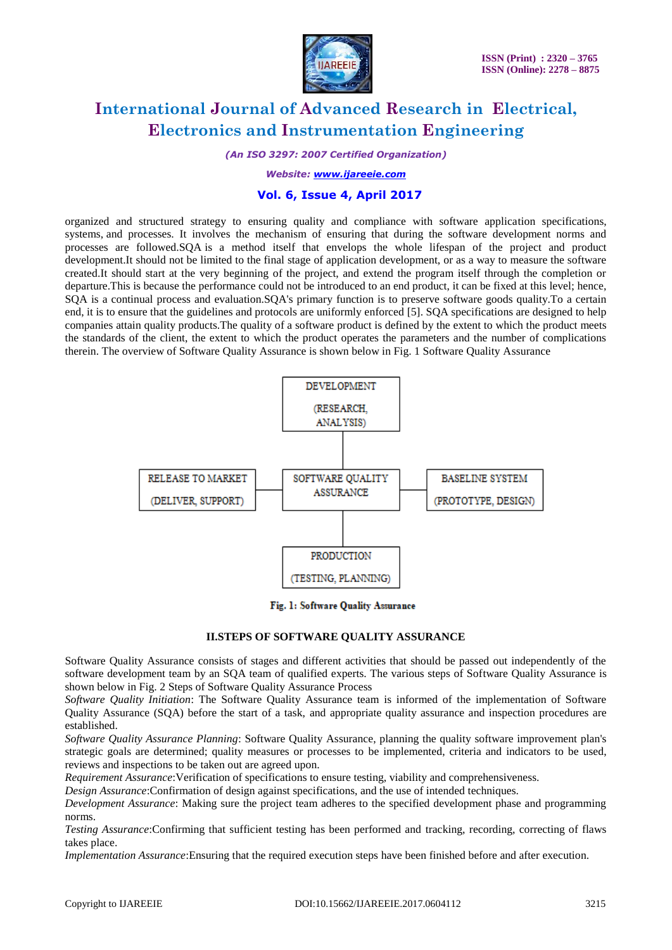

*(An ISO 3297: 2007 Certified Organization)*

*Website: [www.ijareeie.com](http://www.ijareeie.com/)*

### **Vol. 6, Issue 4, April 2017**

organized and structured strategy to ensuring quality and compliance with software application specifications, systems, and processes. It involves the mechanism of ensuring that during the software development norms and processes are followed.SQA is a method itself that envelops the whole lifespan of the project and product development.It should not be limited to the final stage of application development, or as a way to measure the software created.It should start at the very beginning of the project, and extend the program itself through the completion or departure.This is because the performance could not be introduced to an end product, it can be fixed at this level; hence, SQA is a continual process and evaluation.SQA's primary function is to preserve software goods quality.To a certain end, it is to ensure that the guidelines and protocols are uniformly enforced [5]. SQA specifications are designed to help companies attain quality products.The quality of a software product is defined by the extent to which the product meets the standards of the client, the extent to which the product operates the parameters and the number of complications therein. The overview of Software Quality Assurance is shown below in Fig. 1 Software Quality Assurance



Fig. 1: Software Quality Assurance

#### **II.STEPS OF SOFTWARE QUALITY ASSURANCE**

Software Quality Assurance consists of stages and different activities that should be passed out independently of the software development team by an SQA team of qualified experts. The various steps of Software Quality Assurance is shown below in Fig. 2 Steps of Software Quality Assurance Process

*Software Quality Initiation*: The Software Quality Assurance team is informed of the implementation of Software Quality Assurance (SQA) before the start of a task, and appropriate quality assurance and inspection procedures are established.

*Software Quality Assurance Planning*: Software Quality Assurance, planning the quality software improvement plan's strategic goals are determined; quality measures or processes to be implemented, criteria and indicators to be used, reviews and inspections to be taken out are agreed upon.

*Requirement Assurance*:Verification of specifications to ensure testing, viability and comprehensiveness.

*Design Assurance*:Confirmation of design against specifications, and the use of intended techniques.

*Development Assurance*: Making sure the project team adheres to the specified development phase and programming norms.

*Testing Assurance*:Confirming that sufficient testing has been performed and tracking, recording, correcting of flaws takes place.

*Implementation Assurance*:Ensuring that the required execution steps have been finished before and after execution.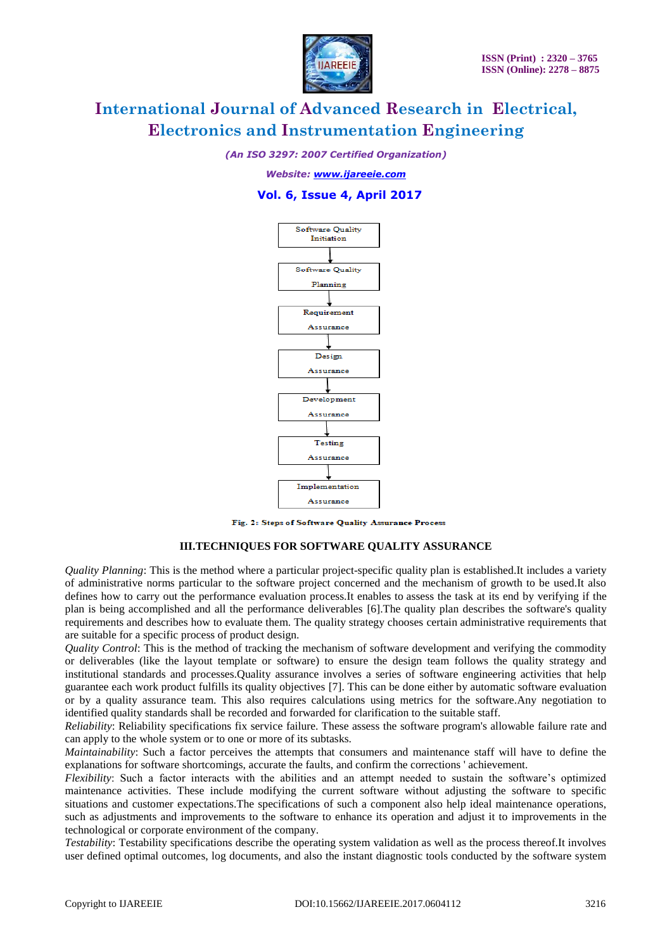

*(An ISO 3297: 2007 Certified Organization)*

*Website: [www.ijareeie.com](http://www.ijareeie.com/)*

### **Vol. 6, Issue 4, April 2017**



Fig. 2: Steps of Software Quality Assurance Process

#### **III.TECHNIQUES FOR SOFTWARE QUALITY ASSURANCE**

*Quality Planning*: This is the method where a particular project-specific quality plan is established.It includes a variety of administrative norms particular to the software project concerned and the mechanism of growth to be used.It also defines how to carry out the performance evaluation process.It enables to assess the task at its end by verifying if the plan is being accomplished and all the performance deliverables [6].The quality plan describes the software's quality requirements and describes how to evaluate them. The quality strategy chooses certain administrative requirements that are suitable for a specific process of product design.

*Quality Control*: This is the method of tracking the mechanism of software development and verifying the commodity or deliverables (like the layout template or software) to ensure the design team follows the quality strategy and institutional standards and processes.Quality assurance involves a series of software engineering activities that help guarantee each work product fulfills its quality objectives [7]. This can be done either by automatic software evaluation or by a quality assurance team. This also requires calculations using metrics for the software.Any negotiation to identified quality standards shall be recorded and forwarded for clarification to the suitable staff.

*Reliability*: Reliability specifications fix service failure. These assess the software program's allowable failure rate and can apply to the whole system or to one or more of its subtasks.

*Maintainability*: Such a factor perceives the attempts that consumers and maintenance staff will have to define the explanations for software shortcomings, accurate the faults, and confirm the corrections ' achievement.

*Flexibility*: Such a factor interacts with the abilities and an attempt needed to sustain the software's optimized maintenance activities. These include modifying the current software without adjusting the software to specific situations and customer expectations.The specifications of such a component also help ideal maintenance operations, such as adjustments and improvements to the software to enhance its operation and adjust it to improvements in the technological or corporate environment of the company.

*Testability*: Testability specifications describe the operating system validation as well as the process thereof.It involves user defined optimal outcomes, log documents, and also the instant diagnostic tools conducted by the software system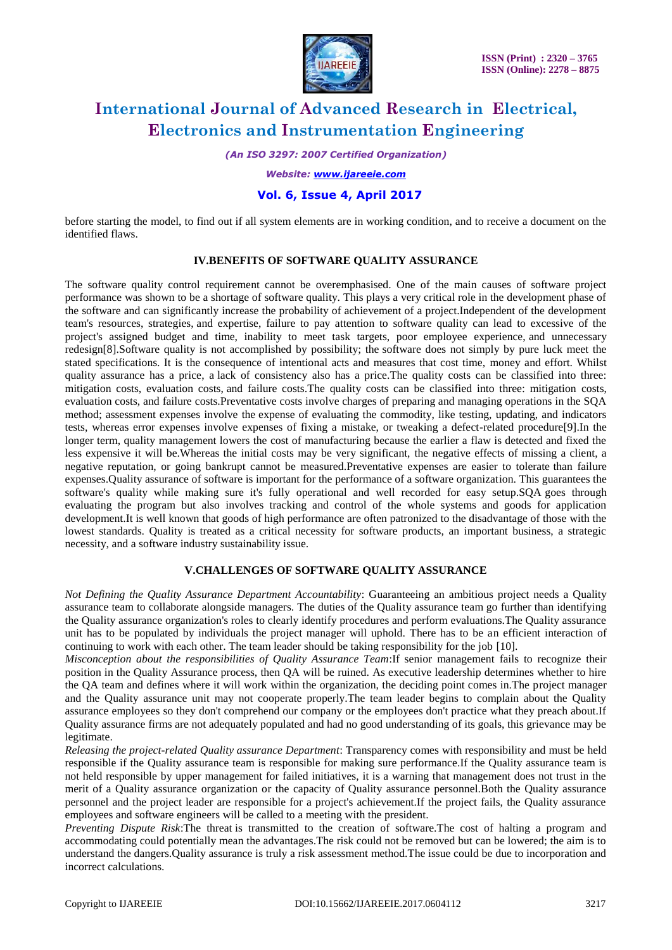

*(An ISO 3297: 2007 Certified Organization)*

*Website: [www.ijareeie.com](http://www.ijareeie.com/)*

## **Vol. 6, Issue 4, April 2017**

before starting the model, to find out if all system elements are in working condition, and to receive a document on the identified flaws.

#### **IV.BENEFITS OF SOFTWARE QUALITY ASSURANCE**

The software quality control requirement cannot be overemphasised. One of the main causes of software project performance was shown to be a shortage of software quality. This plays a very critical role in the development phase of the software and can significantly increase the probability of achievement of a project.Independent of the development team's resources, strategies, and expertise, failure to pay attention to software quality can lead to excessive of the project's assigned budget and time, inability to meet task targets, poor employee experience, and unnecessary redesign[8].Software quality is not accomplished by possibility; the software does not simply by pure luck meet the stated specifications. It is the consequence of intentional acts and measures that cost time, money and effort. Whilst quality assurance has a price, a lack of consistency also has a price.The quality costs can be classified into three: mitigation costs, evaluation costs, and failure costs.The quality costs can be classified into three: mitigation costs, evaluation costs, and failure costs.Preventative costs involve charges of preparing and managing operations in the SQA method; assessment expenses involve the expense of evaluating the commodity, like testing, updating, and indicators tests, whereas error expenses involve expenses of fixing a mistake, or tweaking a defect-related procedure[9].In the longer term, quality management lowers the cost of manufacturing because the earlier a flaw is detected and fixed the less expensive it will be.Whereas the initial costs may be very significant, the negative effects of missing a client, a negative reputation, or going bankrupt cannot be measured.Preventative expenses are easier to tolerate than failure expenses.Quality assurance of software is important for the performance of a software organization. This guarantees the software's quality while making sure it's fully operational and well recorded for easy setup.SQA goes through evaluating the program but also involves tracking and control of the whole systems and goods for application development.It is well known that goods of high performance are often patronized to the disadvantage of those with the lowest standards. Quality is treated as a critical necessity for software products, an important business, a strategic necessity, and a software industry sustainability issue.

## **V.CHALLENGES OF SOFTWARE QUALITY ASSURANCE**

*Not Defining the Quality Assurance Department Accountability*: Guaranteeing an ambitious project needs a Quality assurance team to collaborate alongside managers. The duties of the Quality assurance team go further than identifying the Quality assurance organization's roles to clearly identify procedures and perform evaluations.The Quality assurance unit has to be populated by individuals the project manager will uphold. There has to be an efficient interaction of continuing to work with each other. The team leader should be taking responsibility for the job [10].

*Misconception about the responsibilities of Quality Assurance Team*:If senior management fails to recognize their position in the Quality Assurance process, then QA will be ruined. As executive leadership determines whether to hire the QA team and defines where it will work within the organization, the deciding point comes in.The project manager and the Quality assurance unit may not cooperate properly.The team leader begins to complain about the Quality assurance employees so they don't comprehend our company or the employees don't practice what they preach about.If Quality assurance firms are not adequately populated and had no good understanding of its goals, this grievance may be legitimate.

*Releasing the project-related Quality assurance Department*: Transparency comes with responsibility and must be held responsible if the Quality assurance team is responsible for making sure performance.If the Quality assurance team is not held responsible by upper management for failed initiatives, it is a warning that management does not trust in the merit of a Quality assurance organization or the capacity of Quality assurance personnel.Both the Quality assurance personnel and the project leader are responsible for a project's achievement.If the project fails, the Quality assurance employees and software engineers will be called to a meeting with the president.

*Preventing Dispute Risk*:The threat is transmitted to the creation of software.The cost of halting a program and accommodating could potentially mean the advantages.The risk could not be removed but can be lowered; the aim is to understand the dangers.Quality assurance is truly a risk assessment method.The issue could be due to incorporation and incorrect calculations.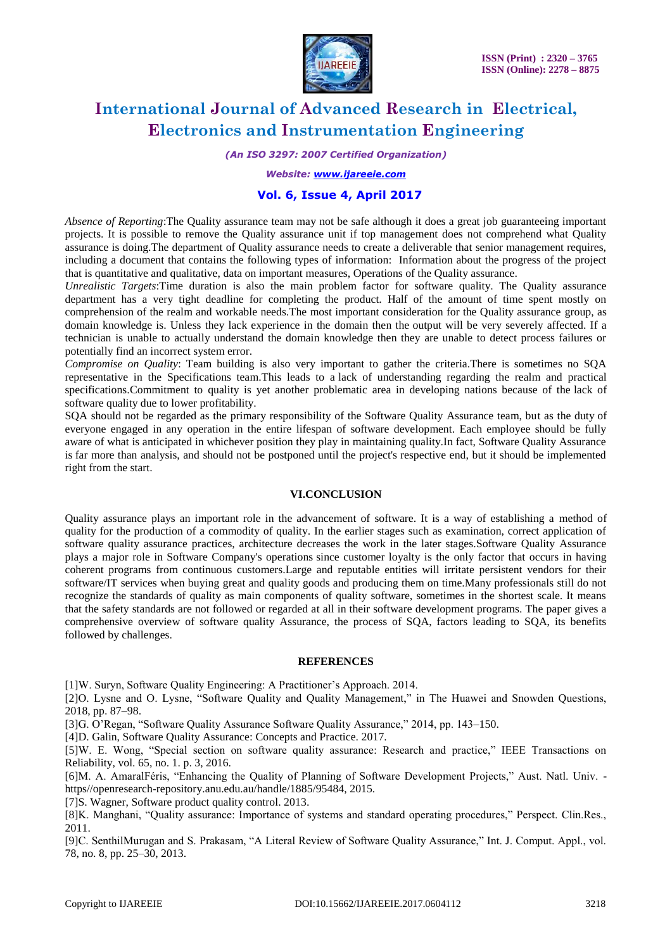

*(An ISO 3297: 2007 Certified Organization)*

*Website: [www.ijareeie.com](http://www.ijareeie.com/)*

### **Vol. 6, Issue 4, April 2017**

*Absence of Reporting*:The Quality assurance team may not be safe although it does a great job guaranteeing important projects. It is possible to remove the Quality assurance unit if top management does not comprehend what Quality assurance is doing.The department of Quality assurance needs to create a deliverable that senior management requires, including a document that contains the following types of information: Information about the progress of the project that is quantitative and qualitative, data on important measures, Operations of the Quality assurance.

*Unrealistic Targets*:Time duration is also the main problem factor for software quality. The Quality assurance department has a very tight deadline for completing the product. Half of the amount of time spent mostly on comprehension of the realm and workable needs.The most important consideration for the Quality assurance group, as domain knowledge is. Unless they lack experience in the domain then the output will be very severely affected. If a technician is unable to actually understand the domain knowledge then they are unable to detect process failures or potentially find an incorrect system error.

*Compromise on Quality*: Team building is also very important to gather the criteria.There is sometimes no SQA representative in the Specifications team.This leads to a lack of understanding regarding the realm and practical specifications.Commitment to quality is yet another problematic area in developing nations because of the lack of software quality due to lower profitability.

SQA should not be regarded as the primary responsibility of the Software Quality Assurance team, but as the duty of everyone engaged in any operation in the entire lifespan of software development. Each employee should be fully aware of what is anticipated in whichever position they play in maintaining quality.In fact, Software Quality Assurance is far more than analysis, and should not be postponed until the project's respective end, but it should be implemented right from the start.

#### **VI.CONCLUSION**

Quality assurance plays an important role in the advancement of software. It is a way of establishing a method of quality for the production of a commodity of quality. In the earlier stages such as examination, correct application of software quality assurance practices, architecture decreases the work in the later stages.Software Quality Assurance plays a major role in Software Company's operations since customer loyalty is the only factor that occurs in having coherent programs from continuous customers.Large and reputable entities will irritate persistent vendors for their software/IT services when buying great and quality goods and producing them on time.Many professionals still do not recognize the standards of quality as main components of quality software, sometimes in the shortest scale. It means that the safety standards are not followed or regarded at all in their software development programs. The paper gives a comprehensive overview of software quality Assurance, the process of SQA, factors leading to SQA, its benefits followed by challenges.

#### **REFERENCES**

[1]W. Suryn, Software Quality Engineering: A Practitioner's Approach. 2014.

[2]O. Lysne and O. Lysne, "Software Quality and Quality Management," in The Huawei and Snowden Questions, 2018, pp. 87–98.

[3]G. O'Regan, "Software Quality Assurance Software Quality Assurance," 2014, pp. 143–150.

[4]D. Galin, Software Quality Assurance: Concepts and Practice. 2017.

[5]W. E. Wong, "Special section on software quality assurance: Research and practice," IEEE Transactions on Reliability, vol. 65, no. 1. p. 3, 2016.

[6]M. A. AmaralFéris, "Enhancing the Quality of Planning of Software Development Projects," Aust. Natl. Univ. https//openresearch-repository.anu.edu.au/handle/1885/95484, 2015.

[7]S. Wagner, Software product quality control. 2013.

[8]K. Manghani, "Quality assurance: Importance of systems and standard operating procedures," Perspect. Clin.Res., 2011.

[9]C. SenthilMurugan and S. Prakasam, "A Literal Review of Software Quality Assurance," Int. J. Comput. Appl., vol. 78, no. 8, pp. 25–30, 2013.